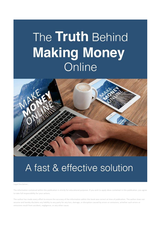# The Truth Behind **Making Money** Online



## A fast & effective solution

Legal Disclaimer…

The information contained within this publication is strictly for educational purposes. If you wish to apply ideas contained in this publication, you agree to take full responsibility for your actions.

The author has made every effort to ensure the accuracy of the information within this book was correct at time of publication. The author does not assume and hereby disclaims any liability to any party for any loss, damage, or disruption caused by errors or omissions, whether such errors or omissions result from accident, negligence, or any other cause.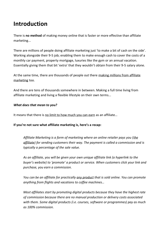### **Introduction**

There is **no method** of making money online that is faster or more effective than affiliate marketing...

There are millions of people doing affiliate marketing just 'to make a bit of cash on the side'. Working alongside their 9-5 job; enabling them to make enough cash to cover the costs of a monthly car payment, property mortgage, luxuries like the gym or an annual vacation. Essentially giving them that bit 'extra' that they wouldn't obtain from their 9-5 salary alone.

At the same time, there are thousands of people out there making millions from affiliate marketing too.

And there are tens of thousands somewhere in between. Making a full time living from affiliate marketing and living a flexible lifestyle on their own terms...

#### *What does that mean to you?*

It means that there is no limit to how much you can earn as an affiliate…

#### **If you're not sure what affiliate marketing is, here's a recap:**

*Affiliate Marketing is a form of marketing where an online retailer pays you (the affiliate) for sending customers their way. The payment is called a commission and is typically a percentage of the sale value.*

*As an affiliate, you will be given your own unique affiliate link (a hyperlink to the buyer's website) to 'promote' a product or service. When customers click your link and purchase, you earn a commission.* 

*You can be an affiliate for practically any product that is sold online. You can promote anything from flights and vacations to coffee machines…*

*Most affiliates start by promoting digital products because they have the highest rate of commission because there are no manual production or delivery costs associated with them. Some digital products (i.e. courses, software or programmes) pay as much as 100% commission.*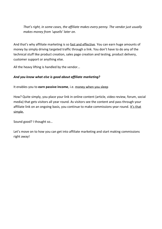*That's right, in some cases, the affiliate makes every penny. The vendor just usually makes money from 'upsells' later on.*

And that's why affiliate marketing is so fast and effective. You can earn huge amounts of money by simply driving targeted traffic through a link. You don't have to do any of the technical stuff like product creation, sales page creation and testing, product delivery, customer support or anything else.

All the heavy lifting is handled by the vendor...

### *And you know what else is good about affiliate marketing?*

It enables you to **earn passive income**, i.e. money when you sleep

How? Quite simply, you place your link in online content (article, video review, forum, social media) that gets visitors all year round. As visitors see the content and pass through your affiliate link on an ongoing basis, you continue to make commissions year round. It's that simple.

Sound good? I thought so…

Let's move on to how you can get into affiliate marketing and start making commissions right away!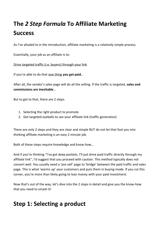### **The** *2 Step Formula* **To Affiliate Marketing Success**

As I've alluded to in the introduction, affiliate marketing is a relatively simple process.

Essentially, your job as an affiliate is to:

Drive targeted traffic (i.e. buyers) through your link

If you're able to do that one thing **you get paid**…

After all, the vendor's sales page will do all the selling. If the traffic is targeted, **sales and commissions are inevitable**...

But to get to that, there are 2 steps.

- 1. Selecting the right product to promote
- 2. Get targeted eyeballs to see your affiliate link (traffic generation)

There are only 2 steps and they are clear and simple BUT do not let that fool you into thinking affiliate marketing is an easy 2 minute job.

Both of these steps require knowledge and know-how…

And if you're thinking "I've got deep pockets, I'll just drive paid traffic directly through my affiliate link", I'd suggest that you proceed with caution. This method typically does not convert well. You usually need a 'pre-sell' page to 'bridge' between the paid traffic and sales page. This is what 'warms up' your customers and puts them in buying mode. If you cut this corner, you're more than likely going to lose money with your paid investment.

Now that's out of the way, let's dive into the 2 steps in detail and give you the know-how that you need to smash it!

### **Step 1: Selecting a product**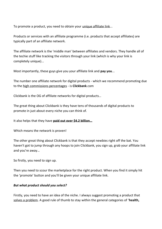To promote a product, you need to obtain your unique affiliate link...

Products or services with an affiliate programme (i.e. products that accept affiliates) are typically part of an affiliate network.

The affiliate network is the 'middle man' between affiliates and vendors. They handle all of the techie stuff like tracking the visitors through your link (which is why your link is completely unique)...

Most importantly, these guys give you your affiliate link and **pay you**...

The number one affiliate network for digital products - which we recommend promoting due to the high commissions percentages - is **Clickbank**.com

Clickbank is the OG of affiliate networks for digital products…

The great thing about Clickbank is they have tens of thousands of digital products to promote in just about every niche you can think of.

It also helps that they have **paid out over \$4.2 billion…**

Which means the network is proven!

The other great thing about Clickbank is that they accept newbies right off the bat. You haven't got to jump through any hoops to join Clickbank, you sign up, grab your affiliate link and you're away…

So firstly, you need to sign up.

Then you need to scour the marketplace for the right product. When you find it simply hit the 'promote' button and you'll be given your unique affiliate link.

### *But what product should you select?*

Firstly, you need to have an idea of the niche. I always suggest promoting a product that solves a problem. A good rule of thumb to stay within the general categories of '**health,**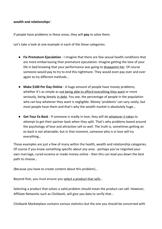#### **wealth and relationships**'.

If people have problems in these areas, they will **pay** to solve them.

Let's take a look at one example in each of the these categories:

- **Fix Premature Ejaculation** I imagine that there are few sexual health conditions that are more embarrassing than premature ejaculation. Imagine getting the love of your life in bed knowing that your performance was going to disappoint her. Of course someone would pay to try to end this nightmare. They would even pay over and over again to try different methods...
- **Make \$100 Per Day Online** A huge amount of people have money problems; whether it's as simple as not being able to afford everything they want or more seriously, being deeply in debt. You see, the percentage of people in the population who can buy whatever they want is negligible. Money 'problems' can vary vastly, but most people have them and that's why the wealth market is absolutely huge…
- **Get Your Ex Back** If someone is madly in love, they will do whatever it takes to attempt to get their partner back when they split. That's why problems based around the psychology of love and attraction sell so well. The truth is, sometimes getting an ex back is not attainable, but in that moment, someone who is in love will try everything…

Those examples are just a few of many within the health, wealth and relationship categories. Of course if you know something specific about any area - perhaps you've reignited your own marriage, cured eczema or made money online - then this can lead you down the best path to choose…

(Because you have to create content about this problem)...

Beyond that, you must ensure you select a product that sells…

Selecting a product that solves a valid problem should mean the product can sell. However, Affiliate Networks such as Clickbank, will give you data to verify that...

Clickbank Marketplace contains various statistics but the one you should be concerned with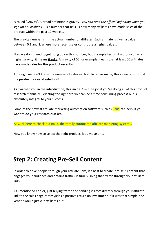is called 'Gravity'. A broad definition is gravity - *you can read the official definition when you sign up at Clickbank* - is a number that tells us how many affiliates have made sales of the product within the past 12 weeks...

The gravity number isn't the actual number of affiliates. Each affiliate is given a value between 0.1 and 1, where more recent sales contribute a higher value...

Now we don't need to get hung up on this number, but in simple terms, if a product has a higher gravity, it means it sells. A gravity of 50 for example means that at least 50 affiliates have made sales for this product recently…

Although we don't know the number of sales each affiliate has made, this alone tells us that the **product is a valid selection!**

As I warned you in the introduction, this isn't a 2 minute job if you're doing all of this product research manually. Selecting the right product can be a time consuming process but is absolutely integral to your success…

Some of the newest affiliate marketing automation software such as **Raiid** can help, if you want to do your research quicker…

[>> Click here to check out Raiid, the totally automated affiliate marketing system…](https://1kadaystrategies.com/raiid)

Now you know how to select the right product, let's move on...

### **Step 2: Creating Pre-Sell Content**

In order to drive people through your affiliate links, it's best to create 'pre-sell' content that engages your audience and obtains traffic (in turn pushing that traffic through your affiliate link)…

As I mentioned earlier, just buying traffic and sending visitors directly through your affiliate link to the sales page rarely yields a positive return on investment. If it was that simple, the vendor would just cut affiliates out...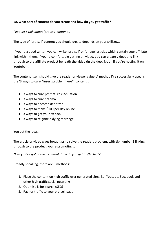### **So, what sort of content do you create and how do you get traffic?**

*First, let's talk about 'pre-sell' content…*

The type of 'pre-sell' content you should create depends on your skillset...

If you're a good writer, you can write 'pre-sell' or 'bridge' articles which contain your affiliate link within them. If you're comfortable getting on video, you can create videos and link through to the affiliate product beneath the video (in the description if you're hosting it on Youtube)...

The content itself should give the reader or viewer value. A method I've successfully used is the '3 ways to cure \*insert problem here\*' content…

- 3 ways to cure premature ejaculation
- 3 ways to cure eczema
- 3 ways to become debt free
- 3 ways to make \$100 per day online
- 3 ways to get your ex back
- 3 ways to reignite a dying marriage

You get the idea...

The article or video gives broad tips to solve the readers problem, with tip number 1 linking through to the product you're promoting…

*Now you've got pre-sell content, how do you get traffic to it?*

Broadly speaking, there are 3 methods:

- 1. Place the content on high traffic user generated sites, i.e. Youtube, Facebook and other high traffic social networks
- 2. Optimise is for search (SEO)
- 3. Pay for traffic to your pre-sell page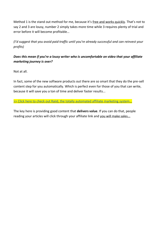Method 1 is the stand out method for me, because it's free and works quickly. That's not to say 2 and 3 are lousy, number 2 simply takes more time while 3 requires plenty of trial and error before it will become profitable…

*(I'd suggest that you avoid paid traffic until you're already successful and can reinvest your profits)*

### *Does this mean if you're a lousy writer who is uncomfortable on video that your affiliate marketing journey is over?*

Not at all.

In fact, some of the new software products out there are so smart that they do the pre-sell content step for you automatically. Which is perfect even for those of you that can write, because it will save you a ton of time and deliver faster results...

>> Click here to check out Raiid, the totally automated affiliate marketing system...

The key here is providing good content that **delivers value**. If you can do that, people reading your articles will click through your affiliate link and you will make sales...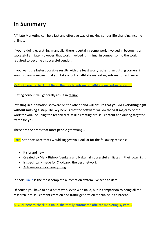### **In Summary**

Affiliate Marketing can be a fast and effective way of making serious life changing income online…

If you're doing everything manually, there is certainly some work involved in becoming a successful affiliate. However, that work involved is minimal in comparison to the work required to become a successful vendor...

If you want the fastest possible results with the least work, rather than cutting corners, i would strongly suggest that you take a look at affiliate marketing automation software…

>> Click here to check out Raiid, the totally automated affiliate marketing system.

Cutting corners will generally result in failure.

Investing in automation software on the other hand will ensure that **you do everything right without missing a step**. The key here is that the software will do the vast majority of the work for you**.** Including the technical stuff like creating pre-sell content and driving targeted traffic for you…

These are the areas that most people get wrong…

[Raiid](https://1kadaystrategies.com/raiid) is the software that I would suggest you look at for the following reasons:

- It's brand new
- Created by Mark Bishop, Venkata and Nakul; all successful affiliates in their own right
- Is specifically made for Clickbank, the best network
- Automates almost everything

In short, [Raiid](https://1kadaystrategies.com/raiid) is the most complete automation system I've seen to date...

Of course you have to do a bit of work even with Raiid, but in comparison to doing all the research, pre-sell content creation and traffic generation manually; it's a breeze...

<sup>&</sup>gt;> Click here to check out Raiid, the totally automated affiliate marketing system...